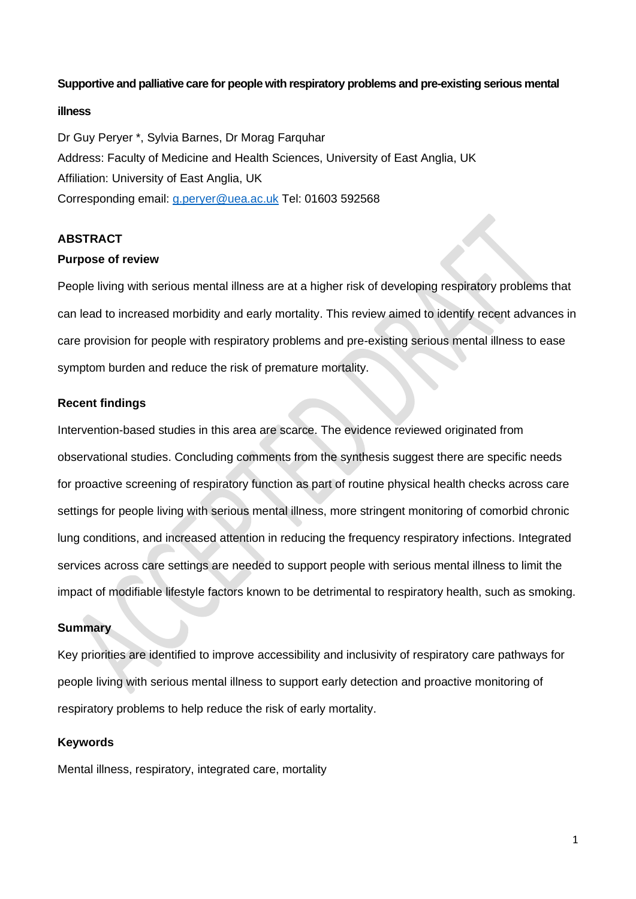## **Supportive and palliative care for people with respiratory problems and pre-existing serious mental**

## **illness**

Dr Guy Peryer \*, Sylvia Barnes, Dr Morag Farquhar Address: Faculty of Medicine and Health Sciences, University of East Anglia, UK Affiliation: University of East Anglia, UK Corresponding email: [g.peryer@uea.ac.uk](mailto:g.peryer@uea.ac.uk) Tel: 01603 592568

# **ABSTRACT**

## **Purpose of review**

People living with serious mental illness are at a higher risk of developing respiratory problems that can lead to increased morbidity and early mortality. This review aimed to identify recent advances in care provision for people with respiratory problems and pre-existing serious mental illness to ease symptom burden and reduce the risk of premature mortality.

# **Recent findings**

Intervention-based studies in this area are scarce. The evidence reviewed originated from observational studies. Concluding comments from the synthesis suggest there are specific needs for proactive screening of respiratory function as part of routine physical health checks across care settings for people living with serious mental illness, more stringent monitoring of comorbid chronic lung conditions, and increased attention in reducing the frequency respiratory infections. Integrated services across care settings are needed to support people with serious mental illness to limit the impact of modifiable lifestyle factors known to be detrimental to respiratory health, such as smoking.

# **Summary**

Key priorities are identified to improve accessibility and inclusivity of respiratory care pathways for people living with serious mental illness to support early detection and proactive monitoring of respiratory problems to help reduce the risk of early mortality.

## **Keywords**

Mental illness, respiratory, integrated care, mortality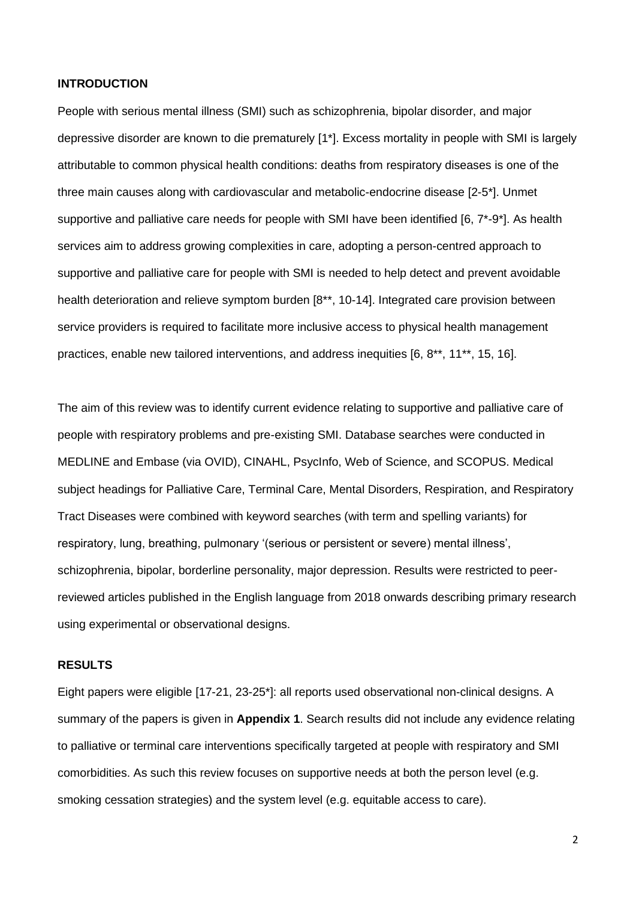### **INTRODUCTION**

People with serious mental illness (SMI) such as schizophrenia, bipolar disorder, and major depressive disorder are known to die prematurely [1\*]. Excess mortality in people with SMI is largely attributable to common physical health conditions: deaths from respiratory diseases is one of the three main causes along with cardiovascular and metabolic-endocrine disease [2-5\*]. Unmet supportive and palliative care needs for people with SMI have been identified [6, 7\*-9\*]. As health services aim to address growing complexities in care, adopting a person-centred approach to supportive and palliative care for people with SMI is needed to help detect and prevent avoidable health deterioration and relieve symptom burden [8<sup>\*\*</sup>, 10-14]. Integrated care provision between service providers is required to facilitate more inclusive access to physical health management practices, enable new tailored interventions, and address inequities [6, 8\*\*, 11\*\*, 15, 16].

The aim of this review was to identify current evidence relating to supportive and palliative care of people with respiratory problems and pre-existing SMI. Database searches were conducted in MEDLINE and Embase (via OVID), CINAHL, PsycInfo, Web of Science, and SCOPUS. Medical subject headings for Palliative Care, Terminal Care, Mental Disorders, Respiration, and Respiratory Tract Diseases were combined with keyword searches (with term and spelling variants) for respiratory, lung, breathing, pulmonary '(serious or persistent or severe) mental illness', schizophrenia, bipolar, borderline personality, major depression. Results were restricted to peerreviewed articles published in the English language from 2018 onwards describing primary research using experimental or observational designs.

### **RESULTS**

Eight papers were eligible [17-21, 23-25\*]: all reports used observational non-clinical designs. A summary of the papers is given in **Appendix 1**. Search results did not include any evidence relating to palliative or terminal care interventions specifically targeted at people with respiratory and SMI comorbidities. As such this review focuses on supportive needs at both the person level (e.g. smoking cessation strategies) and the system level (e.g. equitable access to care).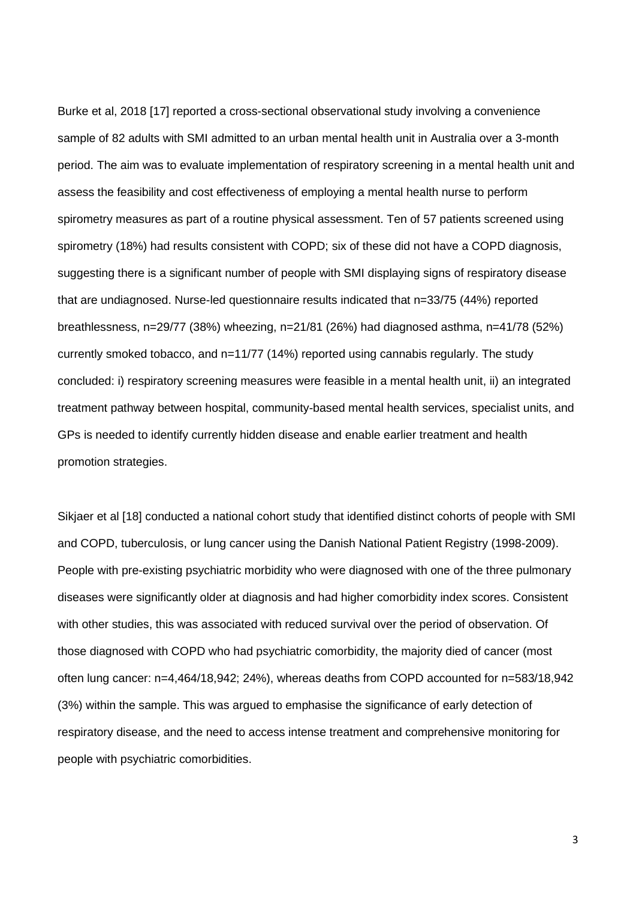Burke et al, 2018 [17] reported a cross-sectional observational study involving a convenience sample of 82 adults with SMI admitted to an urban mental health unit in Australia over a 3-month period. The aim was to evaluate implementation of respiratory screening in a mental health unit and assess the feasibility and cost effectiveness of employing a mental health nurse to perform spirometry measures as part of a routine physical assessment. Ten of 57 patients screened using spirometry (18%) had results consistent with COPD; six of these did not have a COPD diagnosis, suggesting there is a significant number of people with SMI displaying signs of respiratory disease that are undiagnosed. Nurse-led questionnaire results indicated that n=33/75 (44%) reported breathlessness, n=29/77 (38%) wheezing, n=21/81 (26%) had diagnosed asthma, n=41/78 (52%) currently smoked tobacco, and n=11/77 (14%) reported using cannabis regularly. The study concluded: i) respiratory screening measures were feasible in a mental health unit, ii) an integrated treatment pathway between hospital, community-based mental health services, specialist units, and GPs is needed to identify currently hidden disease and enable earlier treatment and health promotion strategies.

Sikjaer et al [18] conducted a national cohort study that identified distinct cohorts of people with SMI and COPD, tuberculosis, or lung cancer using the Danish National Patient Registry (1998-2009). People with pre-existing psychiatric morbidity who were diagnosed with one of the three pulmonary diseases were significantly older at diagnosis and had higher comorbidity index scores. Consistent with other studies, this was associated with reduced survival over the period of observation. Of those diagnosed with COPD who had psychiatric comorbidity, the majority died of cancer (most often lung cancer: n=4,464/18,942; 24%), whereas deaths from COPD accounted for n=583/18,942 (3%) within the sample. This was argued to emphasise the significance of early detection of respiratory disease, and the need to access intense treatment and comprehensive monitoring for people with psychiatric comorbidities.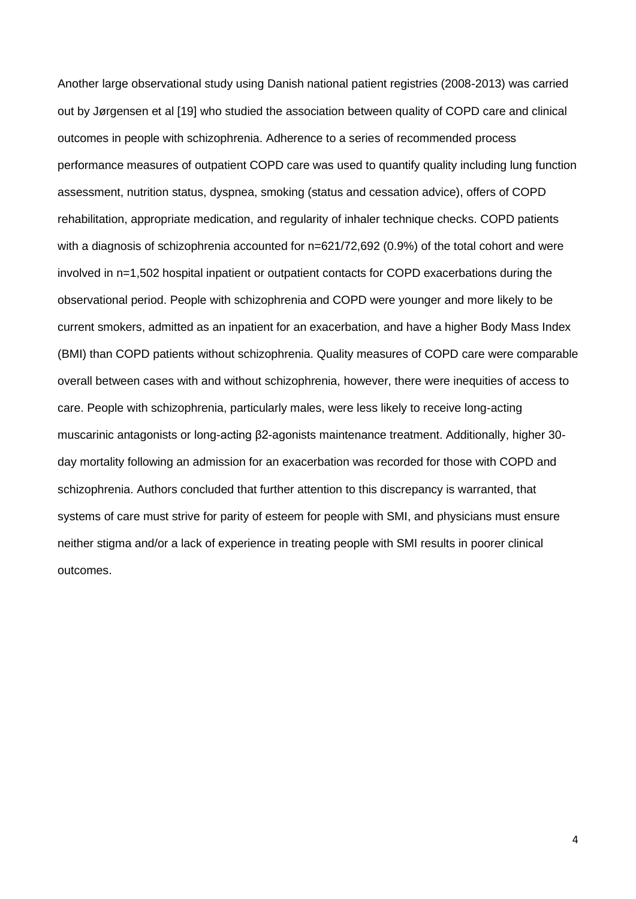Another large observational study using Danish national patient registries (2008-2013) was carried out by Jørgensen et al [19] who studied the association between quality of COPD care and clinical outcomes in people with schizophrenia. Adherence to a series of recommended process performance measures of outpatient COPD care was used to quantify quality including lung function assessment, nutrition status, dyspnea, smoking (status and cessation advice), offers of COPD rehabilitation, appropriate medication, and regularity of inhaler technique checks. COPD patients with a diagnosis of schizophrenia accounted for n=621/72,692 (0.9%) of the total cohort and were involved in n=1,502 hospital inpatient or outpatient contacts for COPD exacerbations during the observational period. People with schizophrenia and COPD were younger and more likely to be current smokers, admitted as an inpatient for an exacerbation, and have a higher Body Mass Index (BMI) than COPD patients without schizophrenia. Quality measures of COPD care were comparable overall between cases with and without schizophrenia, however, there were inequities of access to care. People with schizophrenia, particularly males, were less likely to receive long-acting muscarinic antagonists or long-acting β2-agonists maintenance treatment. Additionally, higher 30 day mortality following an admission for an exacerbation was recorded for those with COPD and schizophrenia. Authors concluded that further attention to this discrepancy is warranted, that systems of care must strive for parity of esteem for people with SMI, and physicians must ensure neither stigma and/or a lack of experience in treating people with SMI results in poorer clinical outcomes.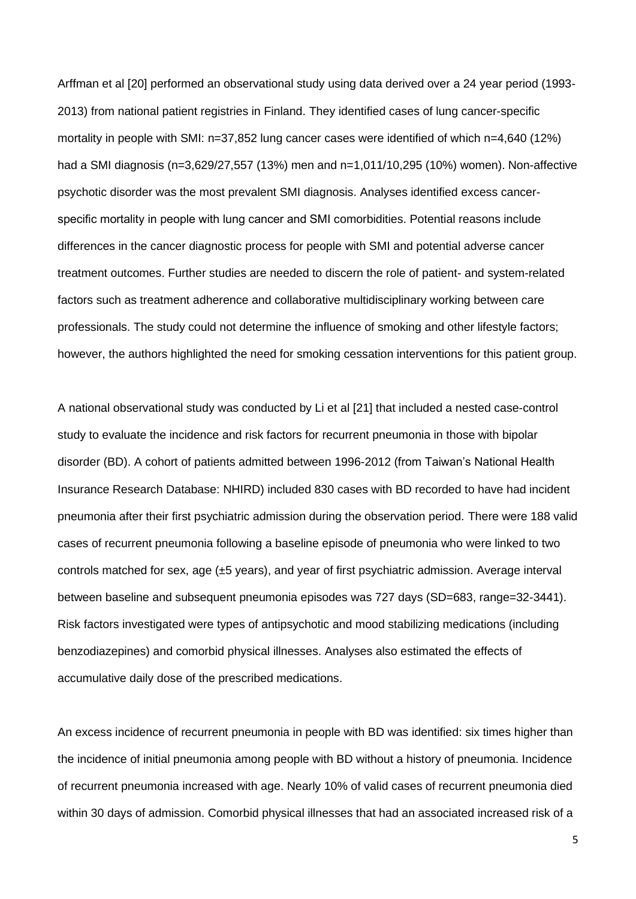Arffman et al [20] performed an observational study using data derived over a 24 year period (1993- 2013) from national patient registries in Finland. They identified cases of lung cancer-specific mortality in people with SMI: n=37,852 lung cancer cases were identified of which n=4,640 (12%) had a SMI diagnosis (n=3,629/27,557 (13%) men and n=1,011/10,295 (10%) women). Non-affective psychotic disorder was the most prevalent SMI diagnosis. Analyses identified excess cancerspecific mortality in people with lung cancer and SMI comorbidities. Potential reasons include differences in the cancer diagnostic process for people with SMI and potential adverse cancer treatment outcomes. Further studies are needed to discern the role of patient- and system-related factors such as treatment adherence and collaborative multidisciplinary working between care professionals. The study could not determine the influence of smoking and other lifestyle factors; however, the authors highlighted the need for smoking cessation interventions for this patient group.

A national observational study was conducted by Li et al [21] that included a nested case-control study to evaluate the incidence and risk factors for recurrent pneumonia in those with bipolar disorder (BD). A cohort of patients admitted between 1996-2012 (from Taiwan's National Health Insurance Research Database: NHIRD) included 830 cases with BD recorded to have had incident pneumonia after their first psychiatric admission during the observation period. There were 188 valid cases of recurrent pneumonia following a baseline episode of pneumonia who were linked to two controls matched for sex, age (±5 years), and year of first psychiatric admission. Average interval between baseline and subsequent pneumonia episodes was 727 days (SD=683, range=32-3441). Risk factors investigated were types of antipsychotic and mood stabilizing medications (including benzodiazepines) and comorbid physical illnesses. Analyses also estimated the effects of accumulative daily dose of the prescribed medications.

An excess incidence of recurrent pneumonia in people with BD was identified: six times higher than the incidence of initial pneumonia among people with BD without a history of pneumonia. Incidence of recurrent pneumonia increased with age. Nearly 10% of valid cases of recurrent pneumonia died within 30 days of admission. Comorbid physical illnesses that had an associated increased risk of a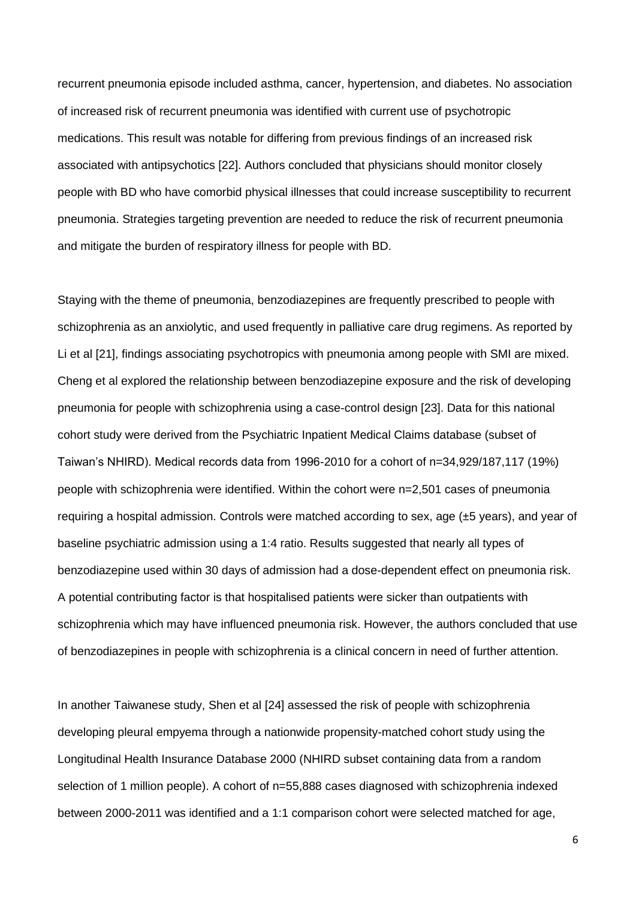recurrent pneumonia episode included asthma, cancer, hypertension, and diabetes. No association of increased risk of recurrent pneumonia was identified with current use of psychotropic medications. This result was notable for differing from previous findings of an increased risk associated with antipsychotics [22]. Authors concluded that physicians should monitor closely people with BD who have comorbid physical illnesses that could increase susceptibility to recurrent pneumonia. Strategies targeting prevention are needed to reduce the risk of recurrent pneumonia and mitigate the burden of respiratory illness for people with BD.

Staying with the theme of pneumonia, benzodiazepines are frequently prescribed to people with schizophrenia as an anxiolytic, and used frequently in palliative care drug regimens. As reported by Li et al [21], findings associating psychotropics with pneumonia among people with SMI are mixed. Cheng et al explored the relationship between benzodiazepine exposure and the risk of developing pneumonia for people with schizophrenia using a case-control design [23]. Data for this national cohort study were derived from the Psychiatric Inpatient Medical Claims database (subset of Taiwan's NHIRD). Medical records data from 1996-2010 for a cohort of n=34,929/187,117 (19%) people with schizophrenia were identified. Within the cohort were n=2,501 cases of pneumonia requiring a hospital admission. Controls were matched according to sex, age (±5 years), and year of baseline psychiatric admission using a 1:4 ratio. Results suggested that nearly all types of benzodiazepine used within 30 days of admission had a dose-dependent effect on pneumonia risk. A potential contributing factor is that hospitalised patients were sicker than outpatients with schizophrenia which may have influenced pneumonia risk. However, the authors concluded that use of benzodiazepines in people with schizophrenia is a clinical concern in need of further attention.

In another Taiwanese study, Shen et al [24] assessed the risk of people with schizophrenia developing pleural empyema through a nationwide propensity-matched cohort study using the Longitudinal Health Insurance Database 2000 (NHIRD subset containing data from a random selection of 1 million people). A cohort of n=55,888 cases diagnosed with schizophrenia indexed between 2000-2011 was identified and a 1:1 comparison cohort were selected matched for age,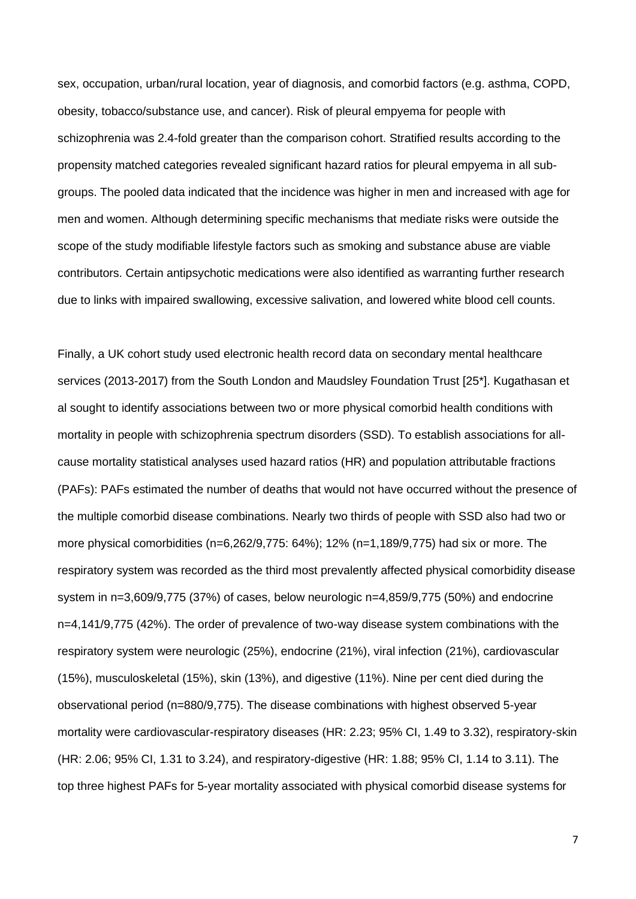sex, occupation, urban/rural location, year of diagnosis, and comorbid factors (e.g. asthma, COPD, obesity, tobacco/substance use, and cancer). Risk of pleural empyema for people with schizophrenia was 2.4-fold greater than the comparison cohort. Stratified results according to the propensity matched categories revealed significant hazard ratios for pleural empyema in all subgroups. The pooled data indicated that the incidence was higher in men and increased with age for men and women. Although determining specific mechanisms that mediate risks were outside the scope of the study modifiable lifestyle factors such as smoking and substance abuse are viable contributors. Certain antipsychotic medications were also identified as warranting further research due to links with impaired swallowing, excessive salivation, and lowered white blood cell counts.

Finally, a UK cohort study used electronic health record data on secondary mental healthcare services (2013-2017) from the South London and Maudsley Foundation Trust [25\*]. Kugathasan et al sought to identify associations between two or more physical comorbid health conditions with mortality in people with schizophrenia spectrum disorders (SSD). To establish associations for allcause mortality statistical analyses used hazard ratios (HR) and population attributable fractions (PAFs): PAFs estimated the number of deaths that would not have occurred without the presence of the multiple comorbid disease combinations. Nearly two thirds of people with SSD also had two or more physical comorbidities (n=6,262/9,775: 64%); 12% (n=1,189/9,775) had six or more. The respiratory system was recorded as the third most prevalently affected physical comorbidity disease system in n=3,609/9,775 (37%) of cases, below neurologic n=4,859/9,775 (50%) and endocrine n=4,141/9,775 (42%). The order of prevalence of two-way disease system combinations with the respiratory system were neurologic (25%), endocrine (21%), viral infection (21%), cardiovascular (15%), musculoskeletal (15%), skin (13%), and digestive (11%). Nine per cent died during the observational period (n=880/9,775). The disease combinations with highest observed 5-year mortality were cardiovascular-respiratory diseases (HR: 2.23; 95% CI, 1.49 to 3.32), respiratory-skin (HR: 2.06; 95% CI, 1.31 to 3.24), and respiratory-digestive (HR: 1.88; 95% CI, 1.14 to 3.11). The top three highest PAFs for 5-year mortality associated with physical comorbid disease systems for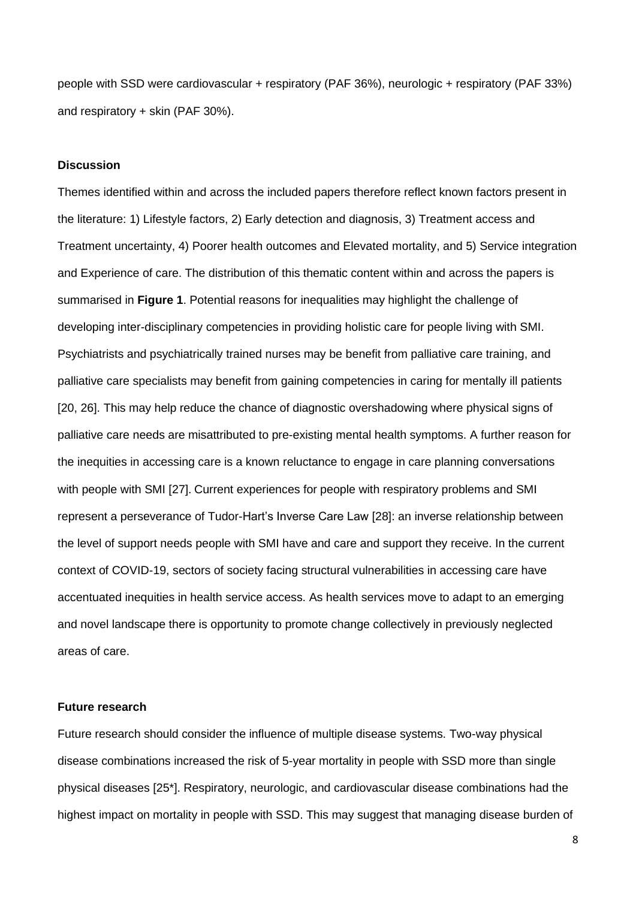people with SSD were cardiovascular + respiratory (PAF 36%), neurologic + respiratory (PAF 33%) and respiratory + skin (PAF 30%).

#### **Discussion**

Themes identified within and across the included papers therefore reflect known factors present in the literature: 1) Lifestyle factors, 2) Early detection and diagnosis, 3) Treatment access and Treatment uncertainty, 4) Poorer health outcomes and Elevated mortality, and 5) Service integration and Experience of care. The distribution of this thematic content within and across the papers is summarised in **Figure 1**. Potential reasons for inequalities may highlight the challenge of developing inter-disciplinary competencies in providing holistic care for people living with SMI. Psychiatrists and psychiatrically trained nurses may be benefit from palliative care training, and palliative care specialists may benefit from gaining competencies in caring for mentally ill patients [20, 26]. This may help reduce the chance of diagnostic overshadowing where physical signs of palliative care needs are misattributed to pre-existing mental health symptoms. A further reason for the inequities in accessing care is a known reluctance to engage in care planning conversations with people with SMI [27]. Current experiences for people with respiratory problems and SMI represent a perseverance of Tudor-Hart's Inverse Care Law [28]: an inverse relationship between the level of support needs people with SMI have and care and support they receive. In the current context of COVID-19, sectors of society facing structural vulnerabilities in accessing care have accentuated inequities in health service access. As health services move to adapt to an emerging and novel landscape there is opportunity to promote change collectively in previously neglected areas of care.

### **Future research**

Future research should consider the influence of multiple disease systems. Two-way physical disease combinations increased the risk of 5-year mortality in people with SSD more than single physical diseases [25\*]. Respiratory, neurologic, and cardiovascular disease combinations had the highest impact on mortality in people with SSD. This may suggest that managing disease burden of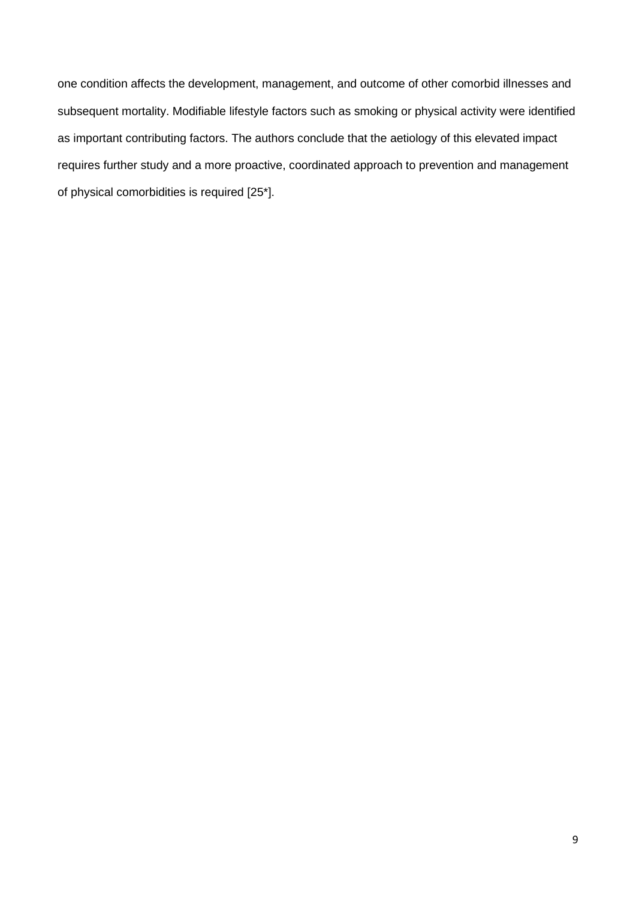one condition affects the development, management, and outcome of other comorbid illnesses and subsequent mortality. Modifiable lifestyle factors such as smoking or physical activity were identified as important contributing factors. The authors conclude that the aetiology of this elevated impact requires further study and a more proactive, coordinated approach to prevention and management of physical comorbidities is required [25\*].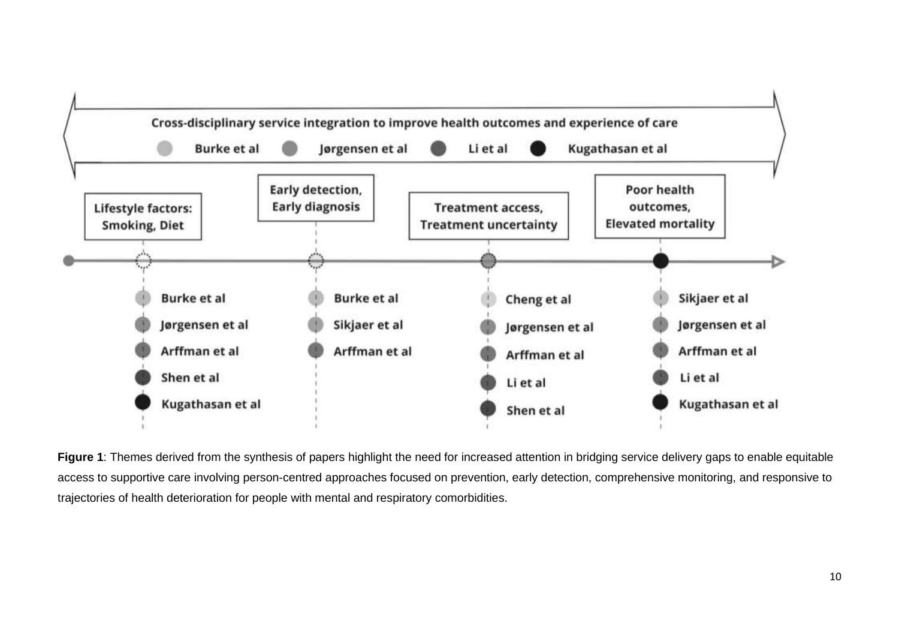

**Figure 1**: Themes derived from the synthesis of papers highlight the need for increased attention in bridging service delivery gaps to enable equitable access to supportive care involving person-centred approaches focused on prevention, early detection, comprehensive monitoring, and responsive to trajectories of health deterioration for people with mental and respiratory comorbidities.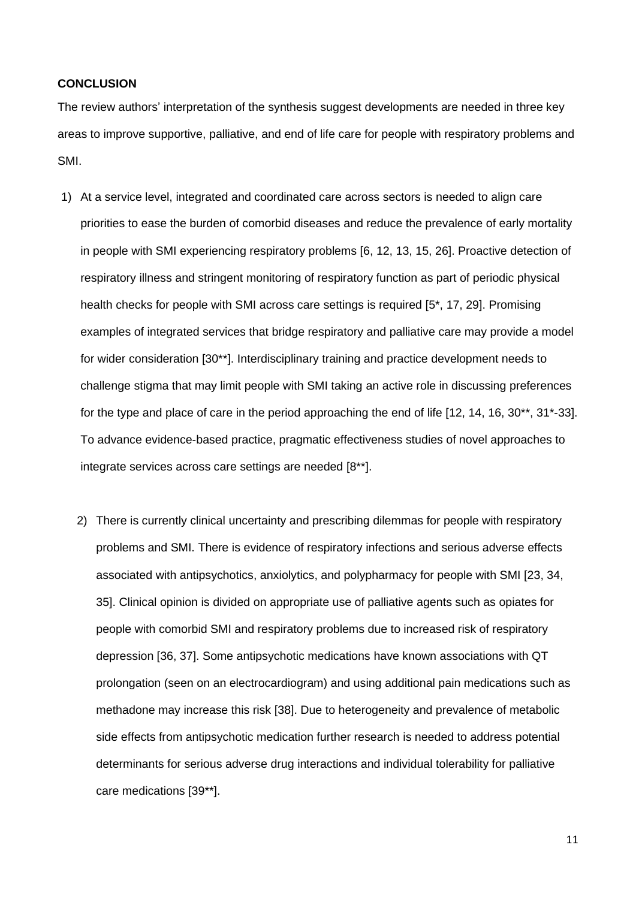### **CONCLUSION**

The review authors' interpretation of the synthesis suggest developments are needed in three key areas to improve supportive, palliative, and end of life care for people with respiratory problems and SMI.

- 1) At a service level, integrated and coordinated care across sectors is needed to align care priorities to ease the burden of comorbid diseases and reduce the prevalence of early mortality in people with SMI experiencing respiratory problems [6, 12, 13, 15, 26]. Proactive detection of respiratory illness and stringent monitoring of respiratory function as part of periodic physical health checks for people with SMI across care settings is required [5\*, 17, 29]. Promising examples of integrated services that bridge respiratory and palliative care may provide a model for wider consideration [30\*\*]. Interdisciplinary training and practice development needs to challenge stigma that may limit people with SMI taking an active role in discussing preferences for the type and place of care in the period approaching the end of life [12, 14, 16, 30\*\*, 31\*-33]. To advance evidence-based practice, pragmatic effectiveness studies of novel approaches to integrate services across care settings are needed [8\*\*].
	- 2) There is currently clinical uncertainty and prescribing dilemmas for people with respiratory problems and SMI. There is evidence of respiratory infections and serious adverse effects associated with antipsychotics, anxiolytics, and polypharmacy for people with SMI [23, 34, 35]. Clinical opinion is divided on appropriate use of palliative agents such as opiates for people with comorbid SMI and respiratory problems due to increased risk of respiratory depression [36, 37]. Some antipsychotic medications have known associations with QT prolongation (seen on an electrocardiogram) and using additional pain medications such as methadone may increase this risk [38]. Due to heterogeneity and prevalence of metabolic side effects from antipsychotic medication further research is needed to address potential determinants for serious adverse drug interactions and individual tolerability for palliative care medications [39\*\*].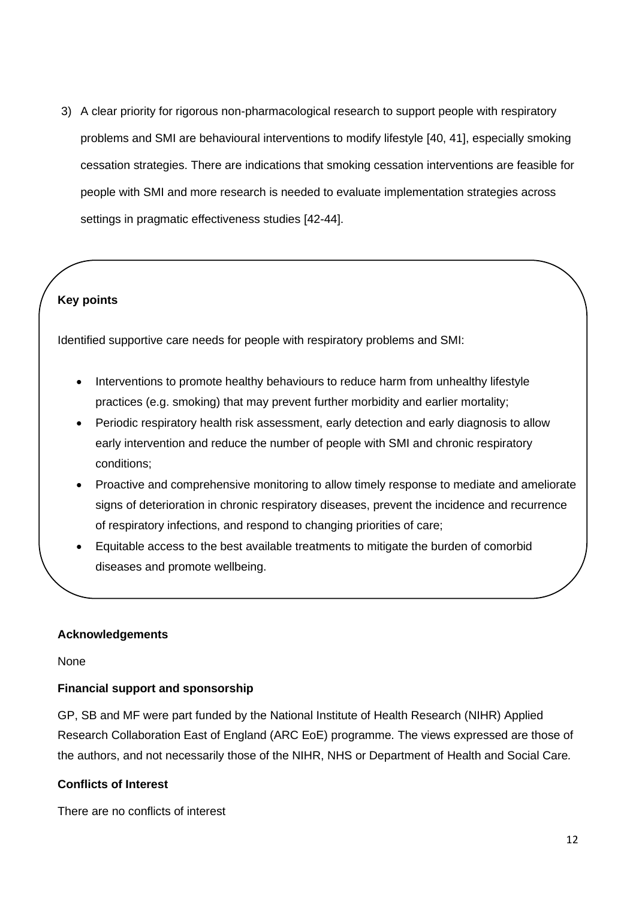3) A clear priority for rigorous non-pharmacological research to support people with respiratory problems and SMI are behavioural interventions to modify lifestyle [40, 41], especially smoking cessation strategies. There are indications that smoking cessation interventions are feasible for people with SMI and more research is needed to evaluate implementation strategies across settings in pragmatic effectiveness studies [42-44].

# **Key points**

Identified supportive care needs for people with respiratory problems and SMI:

- Interventions to promote healthy behaviours to reduce harm from unhealthy lifestyle practices (e.g. smoking) that may prevent further morbidity and earlier mortality;
- Periodic respiratory health risk assessment, early detection and early diagnosis to allow early intervention and reduce the number of people with SMI and chronic respiratory conditions;
- Proactive and comprehensive monitoring to allow timely response to mediate and ameliorate signs of deterioration in chronic respiratory diseases, prevent the incidence and recurrence of respiratory infections, and respond to changing priorities of care;
- Equitable access to the best available treatments to mitigate the burden of comorbid diseases and promote wellbeing.

## **Acknowledgements**

None

## **Financial support and sponsorship**

GP, SB and MF were part funded by the National Institute of Health Research (NIHR) Applied Research Collaboration East of England (ARC EoE) programme. The views expressed are those of the authors, and not necessarily those of the NIHR, NHS or Department of Health and Social Care*.*

## **Conflicts of Interest**

There are no conflicts of interest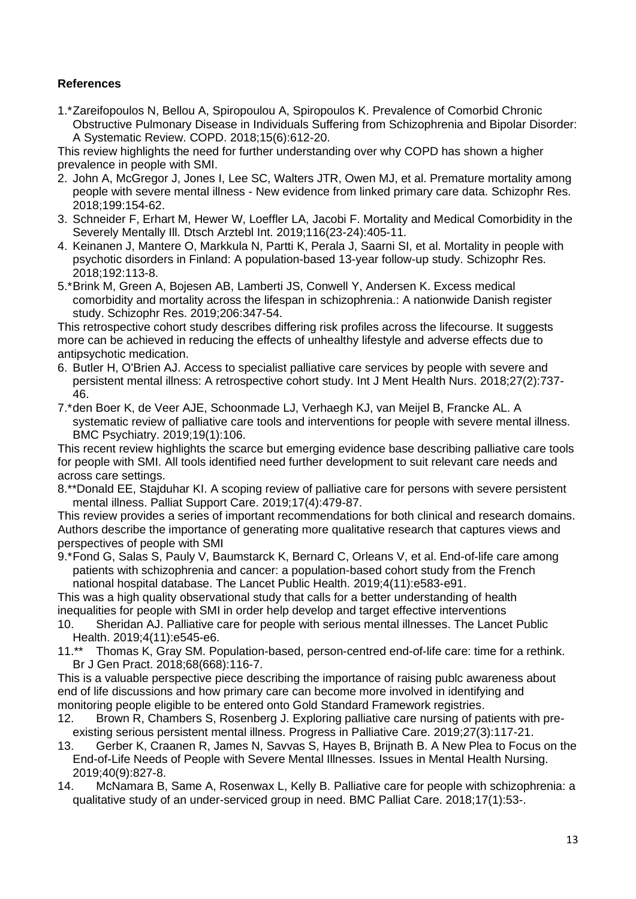# **References**

1.\*Zareifopoulos N, Bellou A, Spiropoulou A, Spiropoulos K. Prevalence of Comorbid Chronic Obstructive Pulmonary Disease in Individuals Suffering from Schizophrenia and Bipolar Disorder: A Systematic Review. COPD. 2018;15(6):612-20.

This review highlights the need for further understanding over why COPD has shown a higher prevalence in people with SMI.

- 2. John A, McGregor J, Jones I, Lee SC, Walters JTR, Owen MJ, et al. Premature mortality among people with severe mental illness - New evidence from linked primary care data. Schizophr Res. 2018;199:154-62.
- 3. Schneider F, Erhart M, Hewer W, Loeffler LA, Jacobi F. Mortality and Medical Comorbidity in the Severely Mentally Ill. Dtsch Arztebl Int. 2019;116(23-24):405-11.
- 4. Keinanen J, Mantere O, Markkula N, Partti K, Perala J, Saarni SI, et al. Mortality in people with psychotic disorders in Finland: A population-based 13-year follow-up study. Schizophr Res. 2018;192:113-8.
- 5.\*Brink M, Green A, Bojesen AB, Lamberti JS, Conwell Y, Andersen K. Excess medical comorbidity and mortality across the lifespan in schizophrenia.: A nationwide Danish register study. Schizophr Res. 2019;206:347-54.

This retrospective cohort study describes differing risk profiles across the lifecourse. It suggests more can be achieved in reducing the effects of unhealthy lifestyle and adverse effects due to antipsychotic medication.

6. Butler H, O'Brien AJ. Access to specialist palliative care services by people with severe and persistent mental illness: A retrospective cohort study. Int J Ment Health Nurs. 2018;27(2):737- 46.

7.\*den Boer K, de Veer AJE, Schoonmade LJ, Verhaegh KJ, van Meijel B, Francke AL. A systematic review of palliative care tools and interventions for people with severe mental illness. BMC Psychiatry. 2019;19(1):106.

This recent review highlights the scarce but emerging evidence base describing palliative care tools for people with SMI. All tools identified need further development to suit relevant care needs and across care settings.

8.\*\*Donald EE, Stajduhar KI. A scoping review of palliative care for persons with severe persistent mental illness. Palliat Support Care. 2019;17(4):479-87.

This review provides a series of important recommendations for both clinical and research domains. Authors describe the importance of generating more qualitative research that captures views and perspectives of people with SMI

9.\*Fond G, Salas S, Pauly V, Baumstarck K, Bernard C, Orleans V, et al. End-of-life care among patients with schizophrenia and cancer: a population-based cohort study from the French national hospital database. The Lancet Public Health. 2019;4(11):e583-e91.

This was a high quality observational study that calls for a better understanding of health inequalities for people with SMI in order help develop and target effective interventions

- 10. Sheridan AJ. Palliative care for people with serious mental illnesses. The Lancet Public Health. 2019;4(11):e545-e6.
- 11.\*\* Thomas K, Gray SM. Population-based, person-centred end-of-life care: time for a rethink. Br J Gen Pract. 2018;68(668):116-7.

This is a valuable perspective piece describing the importance of raising publc awareness about end of life discussions and how primary care can become more involved in identifying and monitoring people eligible to be entered onto Gold Standard Framework registries.

- 12. Brown R, Chambers S, Rosenberg J. Exploring palliative care nursing of patients with preexisting serious persistent mental illness. Progress in Palliative Care. 2019;27(3):117-21.
- 13. Gerber K, Craanen R, James N, Savvas S, Hayes B, Brijnath B. A New Plea to Focus on the End-of-Life Needs of People with Severe Mental Illnesses. Issues in Mental Health Nursing. 2019;40(9):827-8.
- 14. McNamara B, Same A, Rosenwax L, Kelly B. Palliative care for people with schizophrenia: a qualitative study of an under-serviced group in need. BMC Palliat Care. 2018;17(1):53-.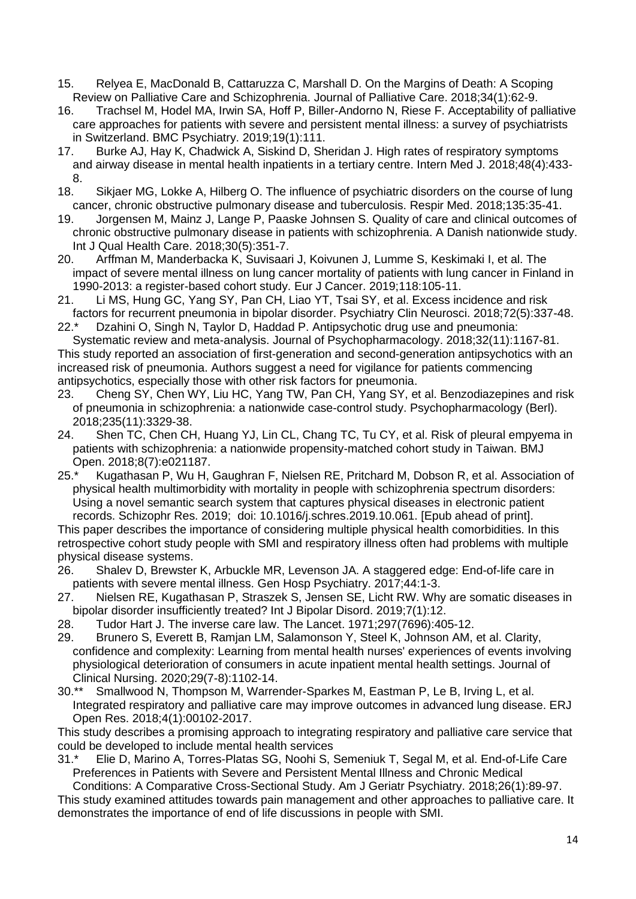- 15. Relyea E, MacDonald B, Cattaruzza C, Marshall D. On the Margins of Death: A Scoping Review on Palliative Care and Schizophrenia. Journal of Palliative Care. 2018;34(1):62-9.
- 16. Trachsel M, Hodel MA, Irwin SA, Hoff P, Biller-Andorno N, Riese F. Acceptability of palliative care approaches for patients with severe and persistent mental illness: a survey of psychiatrists in Switzerland. BMC Psychiatry. 2019;19(1):111.
- 17. Burke AJ, Hay K, Chadwick A, Siskind D, Sheridan J. High rates of respiratory symptoms and airway disease in mental health inpatients in a tertiary centre. Intern Med J. 2018;48(4):433- 8.
- 18. Sikjaer MG, Lokke A, Hilberg O. The influence of psychiatric disorders on the course of lung cancer, chronic obstructive pulmonary disease and tuberculosis. Respir Med. 2018;135:35-41.
- 19. Jorgensen M, Mainz J, Lange P, Paaske Johnsen S. Quality of care and clinical outcomes of chronic obstructive pulmonary disease in patients with schizophrenia. A Danish nationwide study. Int J Qual Health Care. 2018;30(5):351-7.
- 20. Arffman M, Manderbacka K, Suvisaari J, Koivunen J, Lumme S, Keskimaki I, et al. The impact of severe mental illness on lung cancer mortality of patients with lung cancer in Finland in 1990-2013: a register-based cohort study. Eur J Cancer. 2019;118:105-11.
- 21. Li MS, Hung GC, Yang SY, Pan CH, Liao YT, Tsai SY, et al. Excess incidence and risk factors for recurrent pneumonia in bipolar disorder. Psychiatry Clin Neurosci. 2018;72(5):337-48.
- 22.\* Dzahini O, Singh N, Taylor D, Haddad P. Antipsychotic drug use and pneumonia: Systematic review and meta-analysis. Journal of Psychopharmacology. 2018;32(11):1167-81.
- This study reported an association of first-generation and second-generation antipsychotics with an increased risk of pneumonia. Authors suggest a need for vigilance for patients commencing antipsychotics, especially those with other risk factors for pneumonia.
- 23. Cheng SY, Chen WY, Liu HC, Yang TW, Pan CH, Yang SY, et al. Benzodiazepines and risk of pneumonia in schizophrenia: a nationwide case-control study. Psychopharmacology (Berl). 2018;235(11):3329-38.
- 24. Shen TC, Chen CH, Huang YJ, Lin CL, Chang TC, Tu CY, et al. Risk of pleural empyema in patients with schizophrenia: a nationwide propensity-matched cohort study in Taiwan. BMJ Open. 2018;8(7):e021187.
- 25.\* Kugathasan P, Wu H, Gaughran F, Nielsen RE, Pritchard M, Dobson R, et al. Association of physical health multimorbidity with mortality in people with schizophrenia spectrum disorders: Using a novel semantic search system that captures physical diseases in electronic patient records. Schizophr Res. 2019; doi: 10.1016/j.schres.2019.10.061. [Epub ahead of print].

This paper describes the importance of considering multiple physical health comorbidities. In this retrospective cohort study people with SMI and respiratory illness often had problems with multiple physical disease systems.

- 26. Shalev D, Brewster K, Arbuckle MR, Levenson JA. A staggered edge: End-of-life care in patients with severe mental illness. Gen Hosp Psychiatry. 2017;44:1-3.
- 27. Nielsen RE, Kugathasan P, Straszek S, Jensen SE, Licht RW. Why are somatic diseases in bipolar disorder insufficiently treated? Int J Bipolar Disord. 2019;7(1):12.
- 28. Tudor Hart J. The inverse care law. The Lancet. 1971;297(7696):405-12.
- 29. Brunero S, Everett B, Ramjan LM, Salamonson Y, Steel K, Johnson AM, et al. Clarity, confidence and complexity: Learning from mental health nurses' experiences of events involving physiological deterioration of consumers in acute inpatient mental health settings. Journal of Clinical Nursing. 2020;29(7-8):1102-14.
- 30.\*\* Smallwood N, Thompson M, Warrender-Sparkes M, Eastman P, Le B, Irving L, et al. Integrated respiratory and palliative care may improve outcomes in advanced lung disease. ERJ Open Res. 2018;4(1):00102-2017.

This study describes a promising approach to integrating respiratory and palliative care service that could be developed to include mental health services

31.\* Elie D, Marino A, Torres-Platas SG, Noohi S, Semeniuk T, Segal M, et al. End-of-Life Care Preferences in Patients with Severe and Persistent Mental Illness and Chronic Medical

Conditions: A Comparative Cross-Sectional Study. Am J Geriatr Psychiatry. 2018;26(1):89-97. This study examined attitudes towards pain management and other approaches to palliative care. It demonstrates the importance of end of life discussions in people with SMI.